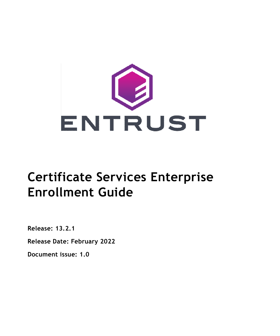

# **Certificate Services Enterprise Enrollment Guide**

**Release: 13.2.1**

**Release Date: February 2022**

**Document issue: 1.0**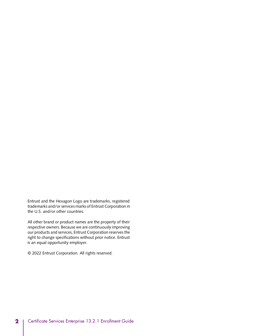Entrust and the Hexagon Logo are trademarks, registered trademarks and/or services marks of Entrust Corporation in the U.S. and/or other countries.

All other brand or product names are the property of their respective owners. Because we are continuously improving our products and services, Entrust Corporation reserves the right to change specifications without prior notice. Entrust is an equal opportunity employer.

© 2022 Entrust Corporation. All rights reserved.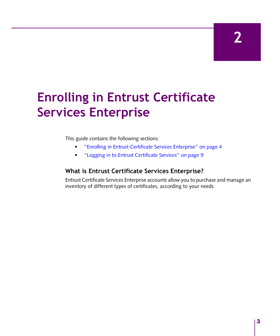**2**

# **Enrolling in Entrust Certificate Services Enterprise**

This guide contains the following sections:

- "Enrolling in Entrust [Certificate](#page-3-0) Services Enterprise" on page 4
- "Logging in to Entrust [Certificate](#page-8-0) Services" on page 9

## **What is Entrust Certificate Services Enterprise?**

Entrust Certificate Services Enterprise accounts allow you to purchase and manage an inventory of different types of certificates, according to your needs.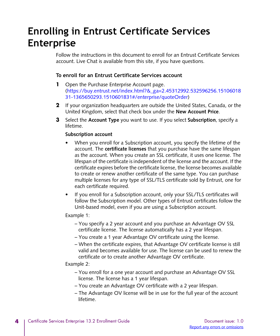# <span id="page-3-0"></span>**Enrolling in Entrust Certificate Services Enterprise**

Follow the instructions in this document to enroll for an Entrust Certificate Services account. Live Chat is available from this site, if you have questions.

#### **To enroll for an Entrust Certificate Services account**

- **1** Open the Purchase Enterprise Account pag[e.](https://buy.entrust.net/index.html?&_ga=2.45312992.532596256.1510601831-1365650293.1510601831#/enterprise/quoteOrder) [\(https://buy.entrust.net/index.html?&\\_ga=2.45312992.532596256.15106018](https://buy.entrust.net/index.html?&_ga=2.45312992.532596256.1510601831-1365650293.1510601831#/enterprise/quoteOrder) [31-1365650293.1510601831#/enterprise/quoteOrder](https://buy.entrust.net/index.html?&_ga=2.45312992.532596256.1510601831-1365650293.1510601831#/enterprise/quoteOrder))
- **2** If your organization headquarters are outside the United States, Canada, or the United Kingdom, select that check box under the **New Account Price**.
- **3** Select the **Account Type** you want to use. If you select **Subscription**, specify a lifetime.

#### **Subscription account**

- When you enroll for a Subscription account, you specify the lifetime of the account. The **certificate licenses** that you purchase have the same lifespan as the account. When you create an SSL certificate, it uses one license. The lifespan of the certificate isindependent of the license and the account. If the certificate expires before the certificate license, the license becomes available to create or renew another certificate of the same type. You can purchase multiple licenses for any type of SSL/TLS certificate sold by Entrust, one for each certificate required.
- If you enroll for a Subscription account, only your SSL/TLS certificates will follow the Subscription model. Other types of Entrust certificates follow the Unit-based model, even if you are using a Subscription account.

#### Example 1:

- You specify a 2 year account and you purchase an Advantage OV SSL certificate license. The license automatically has a 2 year lifespan.
- You create a 1 year Advantage OV certificate using the license.
- When the certificate expires, that Advantage OV certificate license is still valid and becomes available for use. The license can be used to renew the certificate or to create another Advantage OV certificate.

#### Example 2:

- You enroll for a one year account and purchase an Advantage OV SSL license. The license has a 1 year lifespan.
- You create an Advantage OV certificate with a 2 year lifespan.
- The Advantage OV license will be in use for the full year of the account lifetime.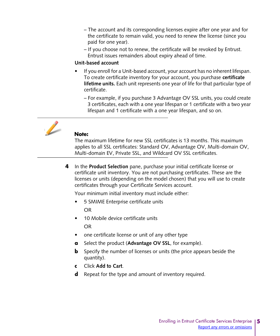- The account and its corresponding licenses expire after one year and for the certificate to remain valid, you need to renew the license (since you paid for one year).
- If you choose not to renew, the certificate will be revoked by Entrust. Entrust issues remainders about expiry ahead of time.

#### **Unit-based account**

- If you enroll for a Unit-based account, your account has no inherent lifespan. To create certificate inventory for your account, you purchase **certificate lifetime units.** Each unit represents one year of life for that particular type of certificate.
	- For example, if you purchase 3 Advantage OV SSL units, you could create 3 certificates, each with a one year lifespan or 1 certificate with a two year lifespan and 1 certificate with a one year lifespan, and so on.



#### **Note:**

The maximum lifetime for new SSL certificates is 13 months. This maximum applies to all SSL certificates: Standard OV, Advantage OV, Multi-domain OV, Multi-domain EV, Private SSL, and Wildcard OV SSL certificates.

**4** In the **Product Selection** pane, purchase your initial certificate license or certificate unit inventory. You are not purchasing certificates. These are the licenses or units (depending on the model chosen) that you will use to create certificates through your Certificate Services account.

Your minimum initial inventory must include either:

- 5 SMIME Enterprise certificate units OR
- 10 Mobile device certificate units OR
- one certificate license or unit of any other type
- **a** Select the product (**Advantage OV SSL**, for example).
- **b** Specify the number of licenses or units (the price appears beside the quantity).
- **c** Click **Add to Cart**.
- **d** Repeat for the type and amount of inventory required.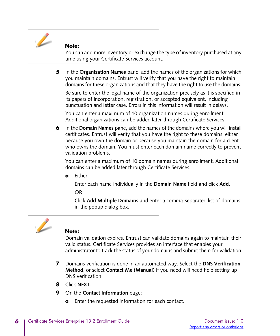

#### **Note:**

You can add more inventory or exchange the type of inventory purchased at any time using your Certificate Services account.

**5** In the **Organization Names** pane, add the names of the organizations for which you maintain domains. Entrust will verify that you have the right to maintain domains for these organizations and that they have the right to use the domains.

Be sure to enter the legal name of the organization precisely as it is specified in its papers of incorporation, registration, or accepted equivalent, including punctuation and letter case. Errors in this information will result in delays.

You can enter a maximum of 10 organization names during enrollment. Additional organizations can be added later through Certificate Services.

**6** In the **Domain Names** pane, add the names of the domains where you will install certificates. Entrust will verify that you have the right to these domains, either because you own the domain or because you maintain the domain for a client who owns the domain. You must enter each domain name correctly to prevent validation problems.

You can enter a maximum of 10 domain names during enrollment. Additional domains can be added later through Certificate Services.

**a** Either:

Enter each name individually in the **Domain Name** field and click **Add**. OR

Click **Add Multiple Domains** and enter a comma-separated list of domains in the popup dialog box.



#### **Note:**

Domain validation expires. Entrust can validate domains again to maintain their valid status. Certificate Services provides an interface that enables your administrator to track the status of your domains and submit them for validation.

- **7** Domains verification is done in an automated way. Select the **DNS Verification Method**, or select **Contact Me (Manual)** if you need will need help setting up DNS verification.
- **8** Click **NEXT**.
- **9** On the **Contact Information** page:
	- **a** Enter the requested information for each contact.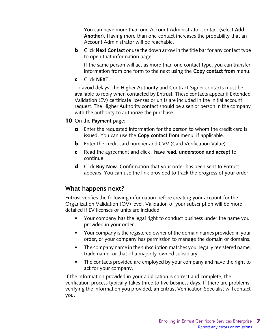You can have more than one Account Administrator contact (select **Add Another**). Having more than one contact increases the probability that an Account Administrator will be reachable.

**b** Click **Next Contact** or use the down arrow in the title bar for any contact type to open that information page.

If the same person will act as more than one contact type, you can transfer information from one form to the next using the **Copy contact from** menu.

**c** Click **NEXT**.

To avoid delays, the Higher Authority and Contract Signer contacts must be available to reply when contacted by Entrust. These contacts appear if Extended Validation (EV) certificate licenses or units are included in the initial account request. The Higher Authority contact should be a senior person in the company with the authority to authorize the purchase.

#### **10** On the **Payment** page:

- **a** Enter the requested information for the person to whom the credit card is issued. You can use the **Copy contact from** menu, if applicable.
- **b** Enter the credit card number and CVV (Card Verification Value).
- **c** Read the agreement and click **I have read, understood and accept** to continue.
- **d** Click **Buy Now**. Confirmation that your order has been sent to Entrust appears. You can use the link provided to track the progress of your order.

# **What happens next?**

Entrust verifies the following information before creating your account for the Organization Validation (OV) level. Validation of your subscription will be more detailed if EV licenses or units are included.

- Your company has the legal right to conduct business under the name you provided in your order.
- Your company is the registered owner of the domain names provided in your order, or your company has permission to manage the domain or domains.
- The company name in the subscription matches your legally registered name, trade name, or that of a majority-owned subsidiary.
- The contacts provided are employed by your company and have the right to act for your company.

If the information provided in your application is correct and complete, the verification process typically takes three to five business days. If there are problems verifying the information you provided, an Entrust Verification Specialist will contact you.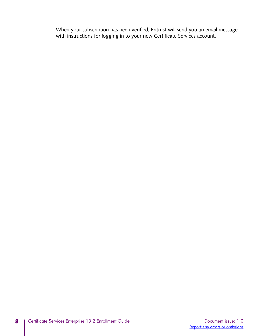When your subscription has been verified, Entrust will send you an email message with instructions for logging in to your new Certificate Services account.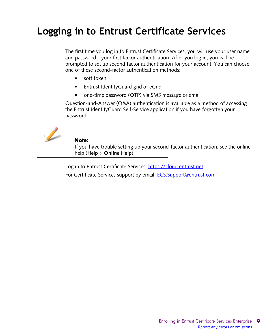# <span id="page-8-0"></span>**Logging in to Entrust Certificate Services**

The first time you log in to Entrust Certificate Services, you will use your user name and password—your first factor authentication. After you log in, you will be prompted to set up second factor authentication for your account. You can choose one of these second-factor authentication methods:

- soft token
- Entrust IdentityGuard grid or eGrid
- one-time password (OTP) via SMS message or email

Question-and-Answer (Q&A) authentication is available as a method of accessing the Entrust IdentityGuard Self-Service application if you have forgotten your password.



#### **Note:**

If you have trouble setting up your second-factor authentication, see the online help (**Help** > **Online Help**).

Log in to Entrust Certificate Services: [https://cloud.entrust.net.](https://cloud.entrust.net)

For [Certificate](ECS.Support@entrust.com) Services support by email: **ECS.Support@entrust.com.**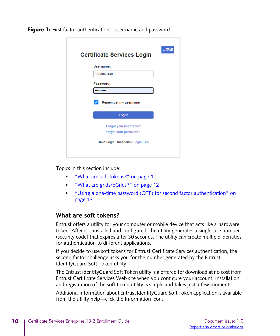**Figure 1:** First factor authentication—user name and password

| <b>Certificate Services Login</b> | 日本語 |
|-----------------------------------|-----|
| Username:                         |     |
| 1308060140                        |     |
| Password:                         |     |
|                                   |     |
| Remember my username              |     |
| Log In                            |     |
| Forgot your username?             |     |
| Forgot your password?             |     |
| Have Login Questions? Login FAQ   |     |
|                                   |     |

Topics in this section include:

- "What are soft tokens?[" on page](#page-9-0) 10
- "What are [grids/eGrids?](#page-11-0)" on page 12
- "Using a one-time password (OTP) for second factor [authentication](#page-12-0)" on [page](#page-12-0) 13

### <span id="page-9-0"></span>**What are soft tokens?**

Entrust offers a utility for your computer or mobile device that acts like a hardware token. After it is installed and configured, the utility generates a single-use number (security code) that expires after 30 seconds. The utility can create multiple identities for authentication to different applications.

If you decide to use soft tokens for Entrust Certificate Services authentication, the second factor challenge asks you for the number generated by the Entrust IdentityGuard Soft Token utility.

The Entrust IdentityGuard Soft Token utility is a offered for download at no cost from Entrust Certificate Services Web site when you configure your account. Installation and registration of the soft token utility is simple and takes just a few moments.

Additional information about Entrust IdentityGuard Soft Token application is available from the utility help—click the Information icon.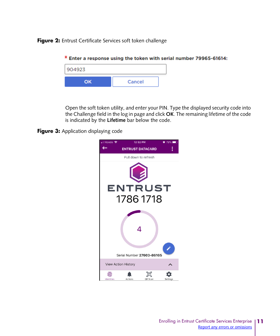**Figure 2:** Entrust Certificate Services soft token challenge



Open the soft token utility, and enter your PIN. Type the displayed security code into the Challenge field in the log in page and click **OK**. The remaining lifetime of the code is indicated by the **Lifetime** bar below the code.

**Figure 3:** Application displaying code

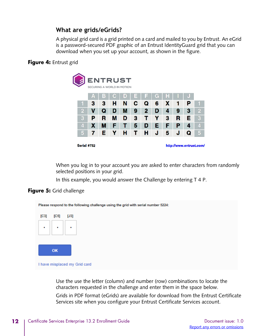## <span id="page-11-0"></span>**What are grids/eGrids?**

A physical grid card is a grid printed on a card and mailed to you by Entrust. An eGrid is a password-secured PDF graphic of an Entrust IdentityGuard grid that you can download when you set up your account, as shown in the figure.

#### **Figure 4:** Entrust grid

|                                        | <b>ENTRUST</b><br>SECURING A WORLD IN MOTION |   |   |   |   |   |   |   |   |    |                |
|----------------------------------------|----------------------------------------------|---|---|---|---|---|---|---|---|----|----------------|
|                                        | Α                                            | B | C | D | Е |   | G | Н |   | p. |                |
|                                        | 3                                            | 3 | н | N | с | Q | 6 | х |   | Р  |                |
| 2                                      | v                                            | Q | D | М | 9 | 2 | D | 4 | 9 | з  | $\overline{2}$ |
| 3                                      | Р                                            | R | М | D | 3 |   |   | 3 | R | Е  | 3              |
| 4                                      | х                                            | м | F |   | 5 | D | E | F | Р | 4  | 4              |
| 5                                      | 7                                            | Е | Υ | н | т | н | J | 5 | J | Q  | 5              |
| Serial #752<br>http://www.entrust.com/ |                                              |   |   |   |   |   |   |   |   |    |                |

When you log in to your account you are asked to enter characters from randomly selected positions in your grid.

In this example, you would answer the Challenge by entering T 4 P.

#### **Figure 5:** Grid challenge



Use the use the letter (column) and number (row) combinations to locate the characters requested in the challenge and enter them in the space below.

Grids in PDF format (eGrids) are available for download from the Entrust Certificate Services site when you configure your Entrust Certificate Services account.